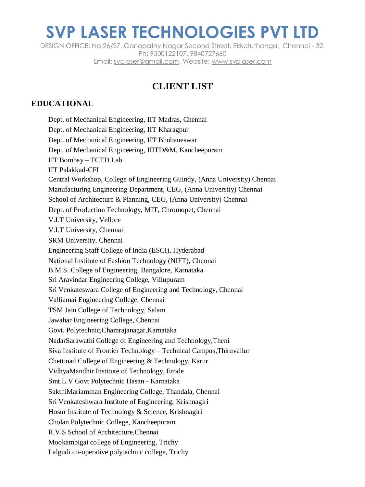DESIGN OFFICE: No.26/27, Ganapathy Nagar Second Street, Ekkatuthangal, Chennai - 32. Ph: 9500122107, 9840727660 Email: svplaser@gmail.com, Website: [www.svplaser.com](http://www.svplaser.com/)

#### **CLIENT LIST**

#### **EDUCATIONAL**

Dept. of Mechanical Engineering, IIT Madras, Chennai Dept. of Mechanical Engineering, IIT Kharagpur Dept. of Mechanical Engineering, IIT Bhubaneswar Dept. of Mechanical Engineering, IIITD&M, Kancheepuram IIT Bombay – TCTD Lab IIT Palakkad-CFI Central Workshop, College of Engineering Guindy, (Anna University) Chennai Manufacturing Engineering Department, CEG, (Anna University) Chennai School of Architecture & Planning, CEG, (Anna University) Chennai Dept. of Production Technology, MIT, Chromopet, Chennai V.I.T University, Vellore V.I.T University, Chennai SRM University, Chennai Engineering Staff College of India (ESCI), Hyderabad National Institute of Fashion Technology (NIFT), Chennai B.M.S. College of Engineering, Bangalore, Karnataka Sri Aravindar Engineering College, Villupuram Sri Venkateswara College of Engineering and Technology, Chennai Valliamai Engineering College, Chennai TSM Jain College of Technology, Salam Jawahar Engineering College, Chennai Govt. Polytechnic,Chamrajanagar,Karnataka NadarSarawathi College of Engineering and Technology,Theni Siva Institute of Frontier Technology – Technical Campus,Thiruvallur Chettinad College of Engineering & Technology, Karur VidhyaMandhir Institute of Technology, Erode Smt.L.V.Govt Polytechnic Hasan - Karnataka SakthiMariamman Engineering College, Thandala, Chennai Sri Venkateshwara Institute of Engineering, Krishnagiri Hosur Institute of Technology & Science, Krishnagiri Cholan Polytechnic College, Kancheepuram R.V.S School of Architecture,Chennai Mookambigai college of Engineering, Trichy Lalgudi co-operative polytechnic college, Trichy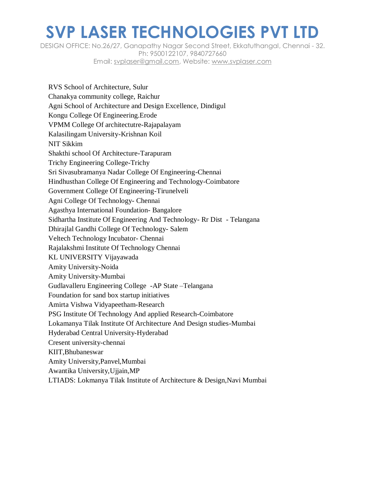DESIGN OFFICE: No.26/27, Ganapathy Nagar Second Street, Ekkatuthangal, Chennai - 32. Ph: 9500122107, 9840727660 Email: svplaser@gmail.com, Website: [www.svplaser.com](http://www.svplaser.com/)

RVS School of Architecture, Sulur Chanakya community college, Raichur Agni School of Architecture and Design Excellence, Dindigul Kongu College Of Engineering.Erode VPMM College Of architectutre-Rajapalayam Kalasilingam University-Krishnan Koil NIT Sikkim Shakthi school Of Architecture-Tarapuram Trichy Engineering College-Trichy Sri Sivasubramanya Nadar College Of Engineering-Chennai Hindhusthan College Of Engineering and Technology-Coimbatore Government College Of Engineering-Tirunelveli Agni College Of Technology- Chennai Agasthya International Foundation- Bangalore Sidhartha Institute Of Engineering And Technology- Rr Dist - Telangana Dhirajlal Gandhi College Of Technology- Salem Veltech Technology Incubator- Chennai Rajalakshmi Institute Of Technology Chennai KL UNIVERSITY Vijayawada Amity University-Noida Amity University-Mumbai Gudlavalleru Engineering College -AP State –Telangana Foundation for sand box startup initiatives Amirta Vishwa Vidyapeetham-Research PSG Institute Of Technology And applied Research-Coimbatore Lokamanya Tilak Institute Of Architecture And Design studies-Mumbai Hyderabad Central University-Hyderabad Cresent university-chennai KIIT,Bhubaneswar Amity University,Panvel,Mumbai Awantika University,Ujjain,MP LTIADS: Lokmanya Tilak Institute of Architecture & Design,Navi Mumbai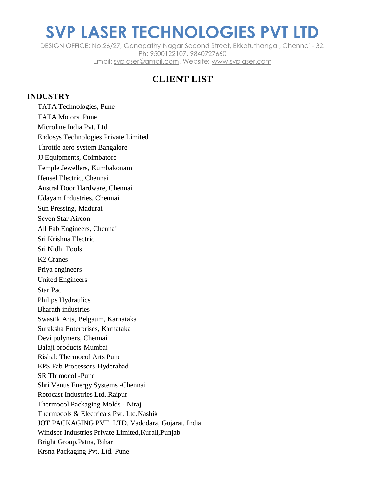DESIGN OFFICE: No.26/27, Ganapathy Nagar Second Street, Ekkatuthangal, Chennai - 32. Ph: 9500122107, 9840727660 Email: svplaser@gmail.com, Website: [www.svplaser.com](http://www.svplaser.com/)

### **CLIENT LIST**

#### **INDUSTRY**

TATA Technologies, Pune TATA Motors ,Pune Microline India Pvt. Ltd. Endosys Technologies Private Limited Throttle aero system Bangalore JJ Equipments, Coimbatore Temple Jewellers, Kumbakonam Hensel Electric, Chennai Austral Door Hardware, Chennai Udayam Industries, Chennai Sun Pressing, Madurai Seven Star Aircon All Fab Engineers, Chennai Sri Krishna Electric Sri Nidhi Tools K2 Cranes Priya engineers United Engineers Star Pac Philips Hydraulics Bharath industries Swastik Arts, Belgaum, Karnataka Suraksha Enterprises, Karnataka Devi polymers, Chennai Balaji products-Mumbai Rishab Thermocol Arts Pune EPS Fab Processors-Hyderabad SR Thrmocol -Pune Shri Venus Energy Systems -Chennai Rotocast Industries Ltd.,Raipur Thermocol Packaging Molds - Niraj Thermocols & Electricals Pvt. Ltd,Nashik JOT PACKAGING PVT. LTD. Vadodara, Gujarat, India Windsor Industries Private Limited,Kurali,Punjab Bright Group,Patna, Bihar Krsna Packaging Pvt. Ltd. Pune